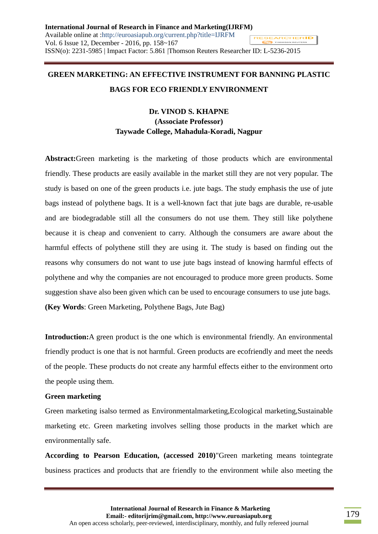# **GREEN MARKETING: AN EFFECTIVE INSTRUMENT FOR BANNING PLASTIC BAGS FOR ECO FRIENDLY ENVIRONMENT**

## **Dr. VINOD S. KHAPNE (Associate Professor) Taywade College, Mahadula-Koradi, Nagpur**

**Abstract:**Green marketing is the marketing of those products which are environmental friendly. These products are easily available in the market still they are not very popular. The study is based on one of the green products i.e. jute bags. The study emphasis the use of jute bags instead of polythene bags. It is a well-known fact that jute bags are durable, re-usable and are biodegradable still all the consumers do not use them. They still like polythene because it is cheap and convenient to carry. Although the consumers are aware about the harmful effects of polythene still they are using it. The study is based on finding out the reasons why consumers do not want to use jute bags instead of knowing harmful effects of polythene and why the companies are not encouraged to produce more green products. Some suggestion shave also been given which can be used to encourage consumers to use jute bags. **(Key Words**: Green Marketing, Polythene Bags, Jute Bag)

**Introduction:**A green product is the one which is environmental friendly. An environmental friendly product is one that is not harmful. Green products are ecofriendly and meet the needs of the people. These products do not create any harmful effects either to the environment orto the people using them.

#### **Green marketing**

Green marketing isalso termed as Environmentalmarketing,Ecological marketing,Sustainable marketing etc. Green marketing involves selling those products in the market which are environmentally safe.

**According to Pearson Education, (accessed 2010)**"Green marketing means tointegrate business practices and products that are friendly to the environment while also meeting the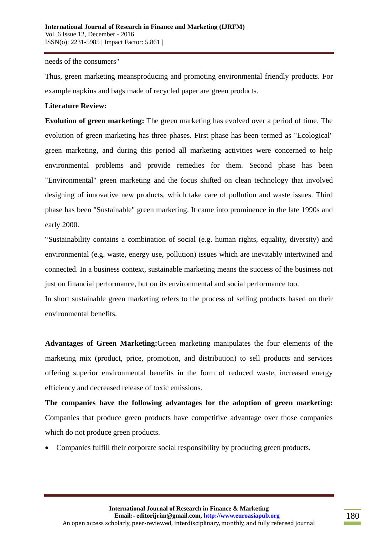needs of the consumers"

Thus, green marketing meansproducing and promoting environmental friendly products. For example napkins and bags made of recycled paper are green products.

#### **Literature Review:**

**Evolution of green marketing:** The green marketing has evolved over a period of time. The evolution of green marketing has three phases. First phase has been termed as "Ecological" green marketing, and during this period all marketing activities were concerned to help environmental problems and provide remedies for them. Second phase has been "Environmental" green marketing and the focus shifted on clean technology that involved designing of innovative new products, which take care of pollution and waste issues. Third phase has been "Sustainable" green marketing. It came into prominence in the late 1990s and early 2000.

"Sustainability contains a combination of social (e.g. human rights, equality, diversity) and environmental (e.g. waste, energy use, pollution) issues which are inevitably intertwined and connected. In a business context, sustainable marketing means the success of the business not just on financial performance, but on its environmental and social performance too.

In short sustainable green marketing refers to the process of selling products based on their environmental benefits.

**Advantages of Green Marketing:**Green marketing manipulates the four elements of the marketing mix (product, price, promotion, and distribution) to sell products and services offering superior environmental benefits in the form of reduced waste, increased energy efficiency and decreased release of toxic emissions.

**The companies have the following advantages for the adoption of green marketing:**  Companies that produce green products have competitive advantage over those companies which do not produce green products.

Companies fulfill their corporate social responsibility by producing green products.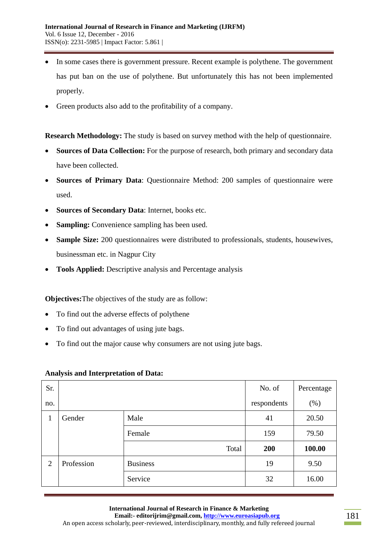- In some cases there is government pressure. Recent example is polythene. The government has put ban on the use of polythene. But unfortunately this has not been implemented properly.
- Green products also add to the profitability of a company.

**Research Methodology:** The study is based on survey method with the help of questionnaire.

- **Sources of Data Collection:** For the purpose of research, both primary and secondary data have been collected.
- **Sources of Primary Data**: Questionnaire Method: 200 samples of questionnaire were used.
- **Sources of Secondary Data**: Internet, books etc.
- **Sampling:** Convenience sampling has been used.
- **Sample Size:** 200 questionnaires were distributed to professionals, students, housewives, businessman etc. in Nagpur City
- **Tools Applied:** Descriptive analysis and Percentage analysis

**Objectives:**The objectives of the study are as follow:

- To find out the adverse effects of polythene
- To find out advantages of using jute bags.
- To find out the major cause why consumers are not using jute bags.

#### **Analysis and Interpretation of Data:**

| Sr.            |            |                 | No. of      | Percentage |
|----------------|------------|-----------------|-------------|------------|
| no.            |            |                 | respondents | $(\%)$     |
| 1              | Gender     | Male            | 41          | 20.50      |
|                |            | Female          | 159         | 79.50      |
|                |            | Total           | 200         | 100.00     |
| $\overline{2}$ | Profession | <b>Business</b> | 19          | 9.50       |
|                |            | Service         | 32          | 16.00      |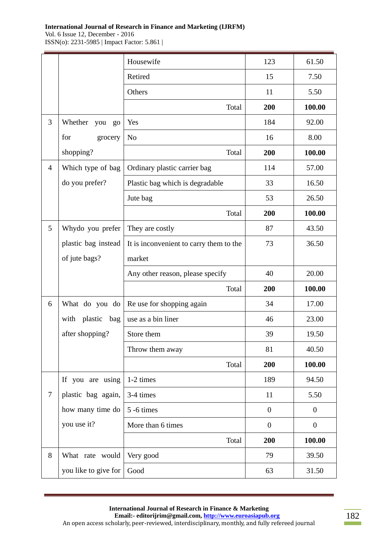**International Journal of Research in Finance and Marketing (IJRFM)** 

Vol. 6 Issue 12, December - 2016 ISSN(o): 2231-5985 | Impact Factor: 5.861 |

|                  |                           | Housewife                               | 123              | 61.50            |
|------------------|---------------------------|-----------------------------------------|------------------|------------------|
|                  |                           | Retired                                 | 15               | 7.50             |
|                  |                           | Others                                  | 11               | 5.50             |
|                  |                           | Total                                   | 200              | 100.00           |
| 3                | Whether<br>you<br>$g_{0}$ | Yes                                     | 184              | 92.00            |
|                  | for<br>grocery            | N <sub>o</sub>                          | 16               | 8.00             |
|                  | shopping?                 | Total                                   | 200              | 100.00           |
| $\overline{4}$   | Which type of bag         | Ordinary plastic carrier bag            | 114              | 57.00            |
|                  | do you prefer?            | Plastic bag which is degradable         | 33               | 16.50            |
|                  |                           | Jute bag                                | 53               | 26.50            |
|                  |                           | Total                                   | 200              | 100.00           |
| 5                | Whydo you prefer          | They are costly                         | 87               | 43.50            |
|                  | plastic bag instead       | It is inconvenient to carry them to the | 73               | 36.50            |
|                  | of jute bags?             | market                                  |                  |                  |
|                  |                           | Any other reason, please specify        | 40               | 20.00            |
|                  |                           | Total                                   | 200              | 100.00           |
| 6                | What do you do            | Re use for shopping again               | 34               | 17.00            |
|                  | with plastic bag          | use as a bin liner                      | 46               | 23.00            |
|                  | after shopping?           | Store them                              | 39               | 19.50            |
|                  |                           | Throw them away                         | 81               | 40.50            |
|                  |                           | Total                                   | 200              | 100.00           |
|                  | If you are using          | 1-2 times                               | 189              | 94.50            |
| $\boldsymbol{7}$ | plastic bag again,        | 3-4 times                               | 11               | 5.50             |
|                  | how many time do          | 5 -6 times                              | $\boldsymbol{0}$ | $\boldsymbol{0}$ |
|                  | you use it?               | More than 6 times                       | $\boldsymbol{0}$ | $\boldsymbol{0}$ |
|                  |                           | Total                                   | 200              | 100.00           |
| 8                | What rate would           | Very good                               | 79               | 39.50            |
|                  | you like to give for      | Good                                    | 63               | 31.50            |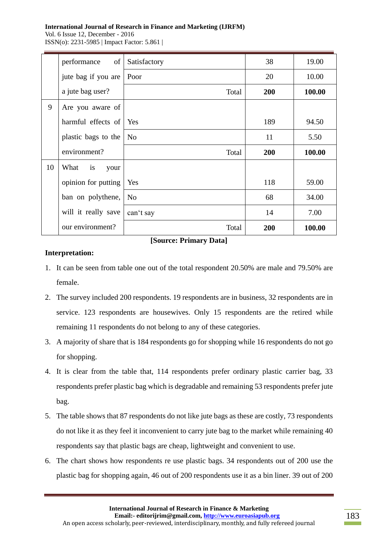#### **International Journal of Research in Finance and Marketing (IJRFM)**

Vol. 6 Issue 12, December - 2016 ISSN(o): 2231-5985 | Impact Factor: 5.861 |

|    | $\sigma$ f<br>performance | Satisfactory   | 38  | 19.00  |
|----|---------------------------|----------------|-----|--------|
|    | jute bag if you are       | Poor           | 20  | 10.00  |
|    | a jute bag user?          | Total          | 200 | 100.00 |
| 9  | Are you aware of          |                |     |        |
|    | harmful effects of        | Yes            | 189 | 94.50  |
|    | plastic bags to the       | N <sub>o</sub> | 11  | 5.50   |
|    | environment?              | Total          | 200 | 100.00 |
| 10 | What<br>is<br>your        |                |     |        |
|    | opinion for putting       | Yes            | 118 | 59.00  |
|    | ban on polythene,         | N <sub>0</sub> | 68  | 34.00  |
|    | will it really save       | can't say      | 14  | 7.00   |
|    | our environment?          | Total          | 200 | 100.00 |

**[Source: Primary Data]**

### **Interpretation:**

- 1. It can be seen from table one out of the total respondent 20.50% are male and 79.50% are female.
- 2. The survey included 200 respondents. 19 respondents are in business, 32 respondents are in service. 123 respondents are housewives. Only 15 respondents are the retired while remaining 11 respondents do not belong to any of these categories.
- 3. A majority of share that is 184 respondents go for shopping while 16 respondents do not go for shopping.
- 4. It is clear from the table that, 114 respondents prefer ordinary plastic carrier bag, 33 respondents prefer plastic bag which is degradable and remaining 53 respondents prefer jute bag.
- 5. The table shows that 87 respondents do not like jute bags as these are costly, 73 respondents do not like it as they feel it inconvenient to carry jute bag to the market while remaining 40 respondents say that plastic bags are cheap, lightweight and convenient to use.
- 6. The chart shows how respondents re use plastic bags. 34 respondents out of 200 use the plastic bag for shopping again, 46 out of 200 respondents use it as a bin liner. 39 out of 200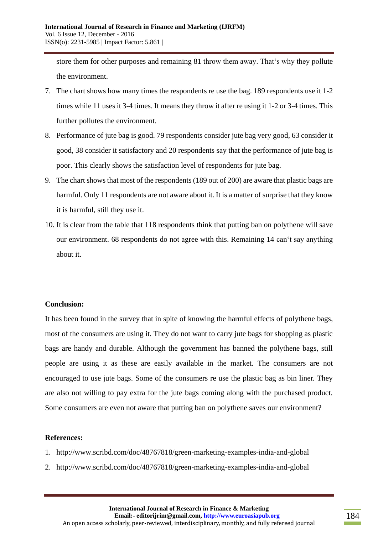store them for other purposes and remaining 81 throw them away. That's why they pollute the environment.

- 7. The chart shows how many times the respondents re use the bag. 189 respondents use it 1-2 times while 11 uses it 3-4 times. It means they throw it after re using it 1-2 or 3-4 times. This further pollutes the environment.
- 8. Performance of jute bag is good. 79 respondents consider jute bag very good, 63 consider it good, 38 consider it satisfactory and 20 respondents say that the performance of jute bag is poor. This clearly shows the satisfaction level of respondents for jute bag.
- 9. The chart shows that most of the respondents (189 out of 200) are aware that plastic bags are harmful. Only 11 respondents are not aware about it. It is a matter of surprise that they know it is harmful, still they use it.
- 10. It is clear from the table that 118 respondents think that putting ban on polythene will save our environment. 68 respondents do not agree with this. Remaining 14 can't say anything about it.

#### **Conclusion:**

It has been found in the survey that in spite of knowing the harmful effects of polythene bags, most of the consumers are using it. They do not want to carry jute bags for shopping as plastic bags are handy and durable. Although the government has banned the polythene bags, still people are using it as these are easily available in the market. The consumers are not encouraged to use jute bags. Some of the consumers re use the plastic bag as bin liner. They are also not willing to pay extra for the jute bags coming along with the purchased product. Some consumers are even not aware that putting ban on polythene saves our environment?

#### **References:**

- 1. http://www.scribd.com/doc/48767818/green-marketing-examples-india-and-global
- 2. http://www.scribd.com/doc/48767818/green-marketing-examples-india-and-global